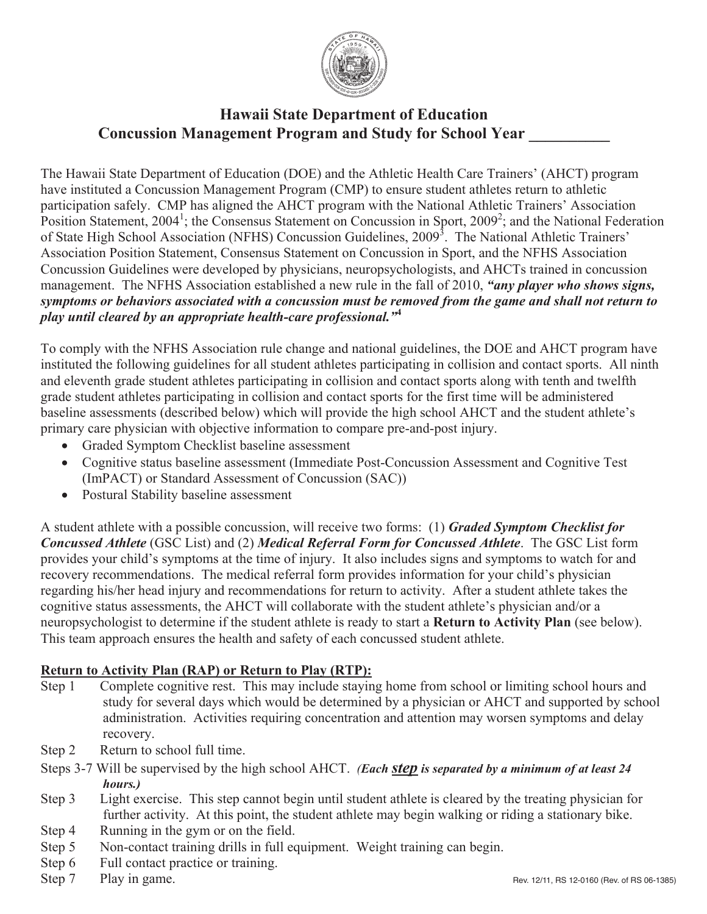

# **Hawaii State Department of Education Hawaii State Department of Education Concussion Management Program and Study for School Year \_\_\_\_\_\_\_\_\_\_ Concussion Management Program and Study for School Year \_\_\_\_\_\_\_\_\_\_**

The Hawaii State Department of Education (DOE) and the Athletic Health Care Trainers' (AHCT) program have instituted a Concussion Management Program (CMP) to ensure student athletes return to athletic nave instituted a Concussion Management Program (CMP) to ensure student athletes return to athletic participation safely. CMP has aligned the AHCT program with the National Athletic Trainers' Association participation safely. CMP has aligned the AHCT program with the National Athletic Trainers' Association<br>Position Statement, 2004<sup>1</sup>; the Consensus Statement on Concussion in Sport, 2009<sup>2</sup>; and the National Federation Position Statement, 2004; the Consensus Statement on Concussion in Sport, 2009; and the National Federation of State High School Association (NFHS) Concussion Guidelines, 2009<sup>3</sup>. The National Athletic Trainers' of State High School Association (NFHS) Concussion Guidelines, 2009. The National Athletic Trainers<br>Association Position Statement, Consensus Statement on Concussion in Sport, and the NFHS Association Association Position Statement, Consensus Statement on Concussion in Sport, and the NFHS Association Concussion Guidelines were developed by physicians, neuropsychologists, and AHCTs trained in concussion Concussion Guidelines were developed by physicians, neuropsychologists, and AHCTs trained in concussion management. The NFHS Association established a new rule in the fall of 2010, *"any player who shows signs,*  management. The NTTD Association established a new rule in the fail of 2010, any player who shows signs,<br>symptoms or behaviors associated with a concussion must be removed from the game and shall not return to *symptoms or behaviors associated with a concussion must be removed from the game and shall not return to play until cleared by an appropriate health-care professional.*"<sup>4</sup> The Hawaii State Department of Education (DOE) and the Athletic Health Care Trainers' (AHCT) program

To comply with the NFHS Association rule change and national guidelines, the DOE and AHCT program have instituted the following guidelines for all student athletes participating in collision and contact sports. All ninth and eleventh grade student athletes participating in collision and contact sports. The minimum and eleventh grade student athletes participating in collision and contact sports along with tenth and twelfth and eleventh grade student athletes participating in collision and contact sports along with tenth and twelfth grade student athletes participating in collision and contact sports for the first time will be administered grade student athletes participating in collision and contact sports for the first time will be administered baseline assessments (described below) which will provide the high school AHCT and the student athlete's baseline assessments (described below) which will provide the high school AHCT and the student athlete's primary care physician with objective information to compare pre-and-post injury. To comply with the NFHS Association rule change and national guidelines, the DOE and AHCT program have

- primary care physician with objective information to compare pre-and-post injury.<br>
Graded Symptom Checklist baseline assessment
	- $\bullet$  Graded Symptom Checklist baseline assessment • Cognitive status baseline assessment (Immediate Post-Concussion Assessment and Cognitive Test  $\text{GPR}$ ) or Standard Assessment of Concussion  $(SAC)$ ) (Impact) or Standard Assessment of Concussion (SAC)) (ImPACT) or Standard Assessment of Concussion (SAC))
	- ! Postural Stability baseline assessment ! Postural Stability baseline assessment

Concussed Athlete (GSC List) and (2) Medical Referral Form for Concussed Athlete. The GSC List form *Concussed Athlete* (GSC List) and (2) *Medical Referral Form for Concussed Athlete*. The GSC List form provides your child's symptoms at the time of injury. It also includes signs and symptoms to watch for and provides your child's symptoms at the time of injury. It also includes signs and symptoms to watch for and recovery recommendations. The medical referral form provides information for your child's physician recovery recommendations. The medical referral form provides information for your child's physician regarding his/her head injury and recommendations for return to activity. After a student athlete takes the regarding his/her head injury and recommendations for return to activity. After a student athlete takes the cognitive status assessments, the AHCT will collaborate with the student athlete's physician and/or a cognitive status assessments, the AHCT will collaborate with the student athlete's physician and/or a neuropsychologist to determine if the student athlete is ready to start a **Return to Activity Plan** (see below). neuropsychologist to determine if the student athlete is ready to start a **Return to Activity Plan** (see below). This team approach ensures the health and safety of each concussed student athlete. This team approach ensures the health and safety of each concussed student athlete. A student athlete with a possible concussion, will receive two forms: (1) *Graded Symptom Checklist for* 

# **Return to Activity Plan (RAP) or Return to Play (RTP):**

- **Return to Activity Plan (RAP) or Return to Play (RPP):**<br>Step 1 Complete cognitive rest. This may include staying home from school or limiting school hours and step 1 Complete cognitive rest. This may include staying home from school or limiting school hours and study for several days which would be determined by a physician or AHCT and supported by school study for several days which would be determined by a physician or AHCT and supported by school administration. Activities requiring concentration and attention may worsen symptoms and delay recovery. recovery.
- recovery. Step 2 Return to school full time.  $S_{\text{top}}$  2  $\sigma$  include to school full time.
- Steps 3-7 Will be supervised by the high school AHCT. (Each step is separated by a minimum of at least 24 *hours.)*
- *hours.)* Step 3 Light exercise. This step cannot begin until student athlete is cleared by the treating physician for Step 3 Light exercise. This step cannot begin until student athlete is cleared by the treating physician for further activity. At this point, the student athlete may begin walking or riding a stationary bike.<br>Purning in the gum or on the field
- Step 4 Running in the gym or on the field.
- $S_{\text{top}}$   $S_{\text{top}}$   $S_{\text{top}}$  and the gym or on the field. Step 5 Noncontact training drills in full equipment. Weight training can begin. Step 5 Noncontact training drills in full equipment. Weight training can begin.
- Step 6 Full contact practice or training.<br>Step 7 Play in same
- Step 7 Play in game.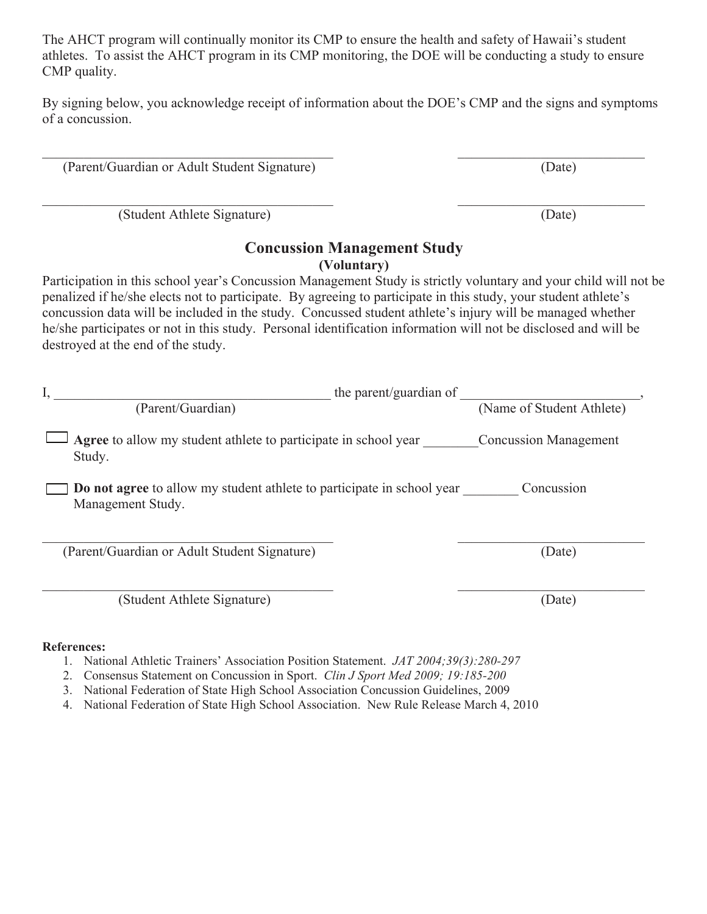The AHCT program will continually monitor its CMP to ensure the health and safety of Hawaii's student athletes. To assist the AHCT program in its CMP monitoring, the DOE will be conducting a study to ensure CMP quality.

By signing below, you acknowledge receipt of information about the DOE's CMP and the signs and symptoms of a concussion.

 $\_$  , and the contribution of the contribution of  $\overline{\mathcal{L}}$  , and  $\overline{\mathcal{L}}$  , and  $\overline{\mathcal{L}}$  , and  $\overline{\mathcal{L}}$ 

 $\mathcal{L}_\mathcal{L} = \{ \mathcal{L}_\mathcal{L} = \{ \mathcal{L}_\mathcal{L} = \{ \mathcal{L}_\mathcal{L} = \{ \mathcal{L}_\mathcal{L} = \{ \mathcal{L}_\mathcal{L} = \{ \mathcal{L}_\mathcal{L} = \{ \mathcal{L}_\mathcal{L} = \{ \mathcal{L}_\mathcal{L} = \{ \mathcal{L}_\mathcal{L} = \{ \mathcal{L}_\mathcal{L} = \{ \mathcal{L}_\mathcal{L} = \{ \mathcal{L}_\mathcal{L} = \{ \mathcal{L}_\mathcal{L} = \{ \mathcal{L}_\mathcal{$ 

(Parent/Guardian or Adult Student Signature) (Date)

(Student Athlete Signature) (Date)

## **Concussion Management Study (Voluntary)**

Participation in this school year's Concussion Management Study is strictly voluntary and your child will not be penalized if he/she elects not to participate. By agreeing to participate in this study, your student athlete's concussion data will be included in the study. Concussed student athlete's injury will be managed whether he/she participates or not in this study. Personal identification information will not be disclosed and will be destroyed at the end of the study.

|                                                                                             | the parent/guardian of       |
|---------------------------------------------------------------------------------------------|------------------------------|
| (Parent/Guardian)                                                                           | (Name of Student Athlete)    |
| Agree to allow my student athlete to participate in school year<br>Study.                   | <b>Concussion Management</b> |
| Do not agree to allow my student athlete to participate in school year<br>Management Study. | Concussion                   |
| (Parent/Guardian or Adult Student Signature)                                                | (Date)                       |
| (Student Athlete Signature)                                                                 | (Date)                       |

### **References:**

- 1. National Athletic Trainers' Association Position Statement. *JAT 2004;39(3):280-297*
- 2. Consensus Statement on Concussion in Sport. *Clin J Sport Med 2009; 19:185-200*
- 3. National Federation of State High School Association Concussion Guidelines, 2009
- 4. National Federation of State High School Association. New Rule Release March 4, 2010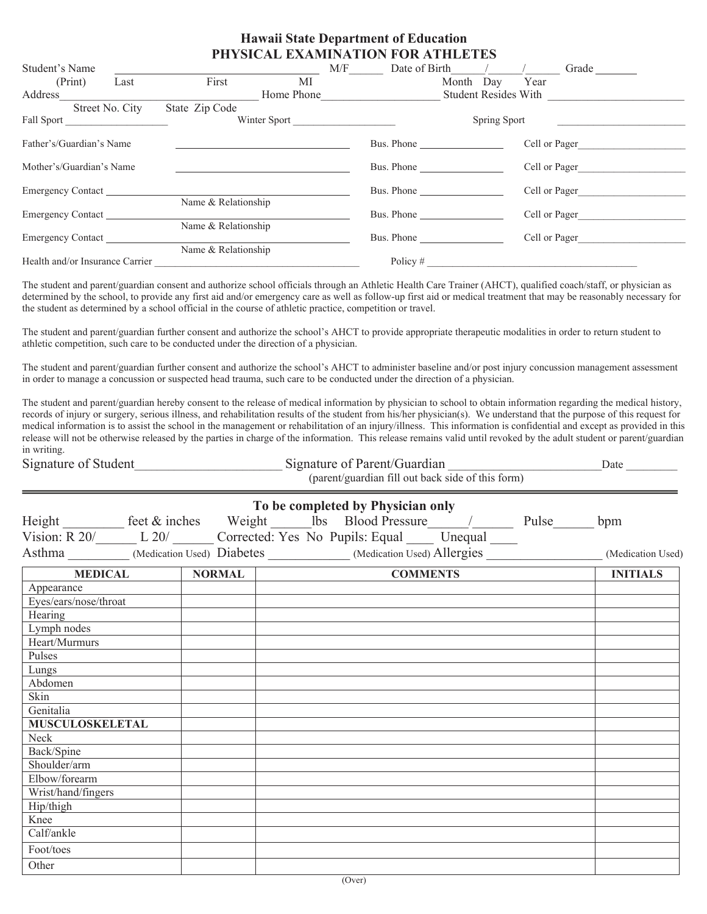#### **Hawaii State Department of Education PHYSICAL EXAMINATION FOR ATHLETES**

| Student's Name                  |                 |                     |              | $M/F$ Date of Birth $/$ / /                        |              |                | Grade         |
|---------------------------------|-----------------|---------------------|--------------|----------------------------------------------------|--------------|----------------|---------------|
| (Print)                         | Last            | First               | MI           |                                                    |              | Month Day Year |               |
| Address                         |                 |                     |              | Home Phone Communication and Student Resides With  |              |                |               |
|                                 | Street No. City | State Zip Code      |              |                                                    |              |                |               |
| Fall Sport                      |                 |                     | Winter Sport |                                                    | Spring Sport |                |               |
| Father's/Guardian's Name        |                 |                     |              | Bus. Phone                                         |              | Cell or Pager  |               |
| Mother's/Guardian's Name        |                 |                     |              | Bus. Phone $\frac{1}{\sqrt{1-\frac{1}{2}}}\right.$ |              | Cell or Pager  |               |
| Emergency Contact               |                 |                     |              | Bus. Phone                                         |              |                | Cell or Pager |
|                                 |                 | Name & Relationship |              |                                                    |              |                |               |
| Emergency Contact               |                 |                     |              | Bus. Phone                                         |              | Cell or Pager  |               |
| Emergency Contact               |                 | Name & Relationship |              | Bus. Phone                                         |              | Cell or Pager  |               |
|                                 |                 | Name & Relationship |              |                                                    |              |                |               |
| Health and/or Insurance Carrier |                 |                     |              | Policy $#$                                         |              |                |               |
|                                 |                 |                     |              |                                                    |              |                |               |

The student and parent/guardian consent and authorize school officials through an Athletic Health Care Trainer (AHCT), qualified coach/staff, or physician as determined by the school, to provide any first aid and/or emergency care as well as followup first aid or medical treatment that may be reasonably necessary for the student as determined by a school official in the course of athletic practice, competition or travel.

The student and parent/guardian further consent and authorize the school's AHCT to provide appropriate therapeutic modalities in order to return student to athletic competition, such care to be conducted under the direction of a physician.

The student and parent/guardian further consent and authorize the school's AHCT to administer baseline and/or post injury concussion management assessment in order to manage a concussion or suspected head trauma, such care to be conducted under the direction of a physician.

The student and parent/guardian hereby consent to the release of medical information by physician to school to obtain information regarding the medical history, records of injury or surgery, serious illness, and rehabilitation results of the student from his/her physician(s). We understand that the purpose of this request for medical information is to assist the school in the management or rehabilitation of an injury/illness. This information is confidential and except as provided in this release will not be otherwise released by the parties in charge of the information. This release remains valid until revoked by the adult student or parent/guardian in writing.

| Signature of Student | Signature of Parent/Guardian                      | Jate |
|----------------------|---------------------------------------------------|------|
|                      | (parent/guardian fill out back side of this form) |      |

|                                                                                                                                     |                                                                                                     | To be completed by Physician only |                 |                   |
|-------------------------------------------------------------------------------------------------------------------------------------|-----------------------------------------------------------------------------------------------------|-----------------------------------|-----------------|-------------------|
|                                                                                                                                     |                                                                                                     |                                   |                 |                   |
| Height feet & inches Weight lbs Blood Pressure / Pulse bpm<br>Vision: R 20/ L 20/ Corrected: Yes No Pupils: Equal Unequal Pulse bpm |                                                                                                     |                                   |                 |                   |
|                                                                                                                                     | Asthma _________ (Medication Used) Diabetes __________ (Medication Used) Allergies ________________ |                                   |                 | (Medication Used) |
| <b>MEDICAL</b>                                                                                                                      | <b>NORMAL</b>                                                                                       |                                   | <b>COMMENTS</b> | <b>INITIALS</b>   |
| Appearance                                                                                                                          |                                                                                                     |                                   |                 |                   |
| Eyes/ears/nose/throat                                                                                                               |                                                                                                     |                                   |                 |                   |
| Hearing                                                                                                                             |                                                                                                     |                                   |                 |                   |
| Lymph nodes                                                                                                                         |                                                                                                     |                                   |                 |                   |
| Heart/Murmurs                                                                                                                       |                                                                                                     |                                   |                 |                   |
| Pulses                                                                                                                              |                                                                                                     |                                   |                 |                   |
| Lungs                                                                                                                               |                                                                                                     |                                   |                 |                   |
| Abdomen                                                                                                                             |                                                                                                     |                                   |                 |                   |
| Skin                                                                                                                                |                                                                                                     |                                   |                 |                   |
| Genitalia                                                                                                                           |                                                                                                     |                                   |                 |                   |
| <b>MUSCULOSKELETAL</b>                                                                                                              |                                                                                                     |                                   |                 |                   |
| Neck                                                                                                                                |                                                                                                     |                                   |                 |                   |
| Back/Spine                                                                                                                          |                                                                                                     |                                   |                 |                   |
| Shoulder/arm                                                                                                                        |                                                                                                     |                                   |                 |                   |
| Elbow/forearm                                                                                                                       |                                                                                                     |                                   |                 |                   |
| Wrist/hand/fingers                                                                                                                  |                                                                                                     |                                   |                 |                   |
| Hip/thigh                                                                                                                           |                                                                                                     |                                   |                 |                   |
| Knee                                                                                                                                |                                                                                                     |                                   |                 |                   |
| Calf/ankle                                                                                                                          |                                                                                                     |                                   |                 |                   |
| Foot/toes                                                                                                                           |                                                                                                     |                                   |                 |                   |
| Other                                                                                                                               |                                                                                                     |                                   |                 |                   |